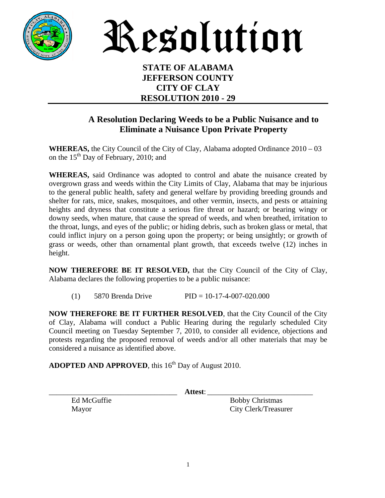

Resolution

#### **STATE OF ALABAMA JEFFERSON COUNTY CITY OF CLAY RESOLUTION 2010 - 29**

### **A Resolution Declaring Weeds to be a Public Nuisance and to Eliminate a Nuisance Upon Private Property**

**WHEREAS,** the City Council of the City of Clay, Alabama adopted Ordinance 2010 – 03 on the  $15<sup>th</sup>$  Day of February, 2010; and

**WHEREAS,** said Ordinance was adopted to control and abate the nuisance created by overgrown grass and weeds within the City Limits of Clay, Alabama that may be injurious to the general public health, safety and general welfare by providing breeding grounds and shelter for rats, mice, snakes, mosquitoes, and other vermin, insects, and pests or attaining heights and dryness that constitute a serious fire threat or hazard; or bearing wingy or downy seeds, when mature, that cause the spread of weeds, and when breathed, irritation to the throat, lungs, and eyes of the public; or hiding debris, such as broken glass or metal, that could inflict injury on a person going upon the property; or being unsightly; or growth of grass or weeds, other than ornamental plant growth, that exceeds twelve (12) inches in height.

**NOW THEREFORE BE IT RESOLVED,** that the City Council of the City of Clay, Alabama declares the following properties to be a public nuisance:

(1) 5870 Brenda Drive PID = 10-17-4-007-020.000

**NOW THEREFORE BE IT FURTHER RESOLVED**, that the City Council of the City of Clay, Alabama will conduct a Public Hearing during the regularly scheduled City Council meeting on Tuesday September 7, 2010, to consider all evidence, objections and protests regarding the proposed removal of weeds and/or all other materials that may be considered a nuisance as identified above.

ADOPTED AND APPROVED, this 16<sup>th</sup> Day of August 2010.

\_\_\_\_\_\_\_\_\_\_\_\_\_\_\_\_\_\_\_\_\_\_\_\_\_\_\_\_\_\_\_\_\_\_ **Attest**: \_\_\_\_\_\_\_\_\_\_\_\_\_\_\_\_\_\_\_\_\_\_\_\_\_\_\_\_

Ed McGuffie Bobby Christmas Mayor City Clerk/Treasurer